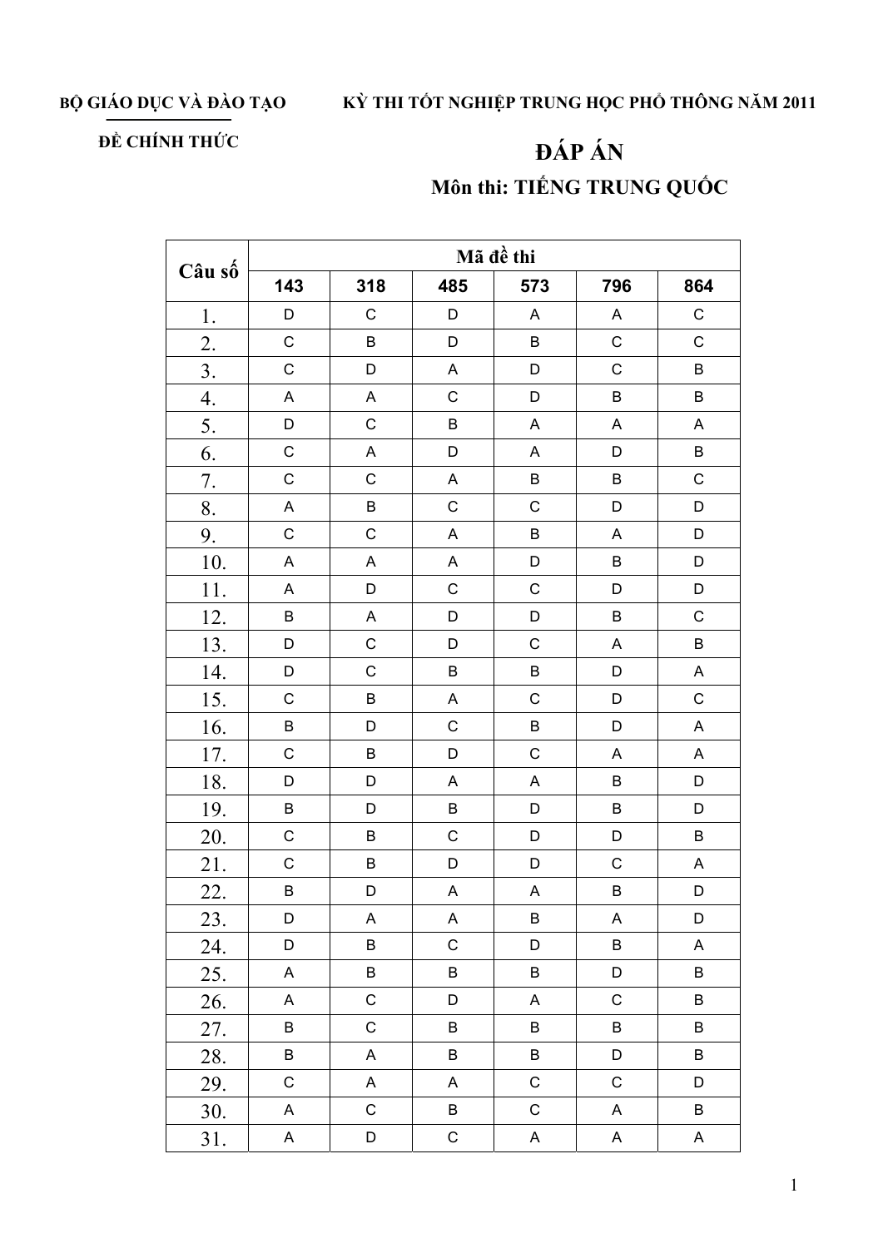## BỘ GIÁO DỤC VÀ ĐÀO TẠO KỪ THI TỐT NGHIỆP TRUNG HỌC PHỔ THÔNG NĂM 2011

## ĐỀ CHÍNH THỨC

## ĐÁP ÁN Môn thi: TIẾNG TRUNG QUỐC

| Câu số           | Mã đề thi   |                           |             |                           |             |                           |  |  |
|------------------|-------------|---------------------------|-------------|---------------------------|-------------|---------------------------|--|--|
|                  | 143         | 318                       | 485         | 573                       | 796         | 864                       |  |  |
| 1.               | D           | $\mathsf C$               | D           | $\boldsymbol{\mathsf{A}}$ | A           | $\mathsf C$               |  |  |
| 2.               | $\mathsf C$ | $\sf B$                   | $\mathsf D$ | $\sf B$                   | $\mathsf C$ | $\mathsf C$               |  |  |
| $\overline{3}$ . | $\mathsf C$ | $\mathsf D$               | $\mathsf A$ | D                         | $\mathsf C$ | $\sf B$                   |  |  |
| 4.               | A           | A                         | $\mathsf C$ | D                         | B           | $\sf B$                   |  |  |
| 5.               | D           | $\mathsf C$               | $\sf B$     | A                         | $\mathsf A$ | $\boldsymbol{\mathsf{A}}$ |  |  |
| 6.               | $\mathsf C$ | $\boldsymbol{\mathsf{A}}$ | D           | A                         | D           | $\sf B$                   |  |  |
| 7.               | $\mathsf C$ | $\mathsf C$               | A           | $\sf B$                   | $\sf B$     | $\mathsf C$               |  |  |
| 8.               | $\mathsf A$ | $\sf B$                   | $\mathsf C$ | $\mathsf C$               | D           | D                         |  |  |
| 9.               | $\mathsf C$ | $\mathsf C$               | $\mathsf A$ | $\mathsf B$               | $\mathsf A$ | D                         |  |  |
| 10.              | A           | $\mathsf A$               | $\mathsf A$ | D                         | $\sf B$     | D                         |  |  |
| 11.              | A           | $\mathsf D$               | $\mathsf C$ | $\mathsf C$               | D           | D                         |  |  |
| 12.              | B           | $\boldsymbol{\mathsf{A}}$ | D           | D                         | $\sf B$     | $\mathsf C$               |  |  |
| 13.              | D           | $\mathsf C$               | $\mathsf D$ | $\mathsf C$               | $\mathsf A$ | $\sf B$                   |  |  |
| 14.              | D           | $\mathsf C$               | $\sf B$     | $\sf B$                   | D           | $\boldsymbol{\mathsf{A}}$ |  |  |
| 15.              | $\mathsf C$ | $\sf B$                   | $\mathsf A$ | $\mathsf C$               | D           | $\mathsf C$               |  |  |
| 16.              | B           | D                         | $\mathsf C$ | $\sf B$                   | D           | $\boldsymbol{\mathsf{A}}$ |  |  |
| 17.              | $\mathsf C$ | $\sf B$                   | $\mathsf D$ | $\mathsf{C}$              | $\mathsf A$ | $\boldsymbol{\mathsf{A}}$ |  |  |
| 18.              | D           | $\mathsf D$               | $\mathsf A$ | A                         | $\sf B$     | D                         |  |  |
| 19.              | B           | $\mathsf D$               | $\sf B$     | D                         | $\sf B$     | D                         |  |  |
| 20.              | $\mathsf C$ | $\sf B$                   | $\mathsf C$ | D                         | $\mathsf D$ | $\sf B$                   |  |  |
| 21.              | $\mathsf C$ | B                         | $\mathsf D$ | D                         | $\mathsf C$ | $\boldsymbol{\mathsf{A}}$ |  |  |
| 22.              | B           | $\mathsf D$               | A           | $\boldsymbol{\mathsf{A}}$ | $\sf B$     | $\mathsf D$               |  |  |
| 23.              | D           | A                         | A           | $\sf B$                   | A           | D                         |  |  |
| 24.              | D           | B                         | $\mathsf C$ | D                         | B           | A                         |  |  |
| 25.              | A           | B                         | B           | B                         | D           | $\sf B$                   |  |  |
| 26.              | A           | $\mathsf C$               | D           | A                         | $\mathsf C$ | $\sf B$                   |  |  |
| 27.              | B           | С                         | B           | B                         | B           | B                         |  |  |
| 28.              | B           | A                         | B           | $\sf B$                   | $\mathsf D$ | $\sf B$                   |  |  |
| 29.              | $\mathsf C$ | A                         | A           | $\mathsf C$               | $\mathsf C$ | D                         |  |  |
| 30.              | A           | $\mathsf C$               | B           | $\mathsf C$               | A           | $\sf B$                   |  |  |
| 31.              | A           | D                         | ${\bf C}$   | A                         | A           | A                         |  |  |